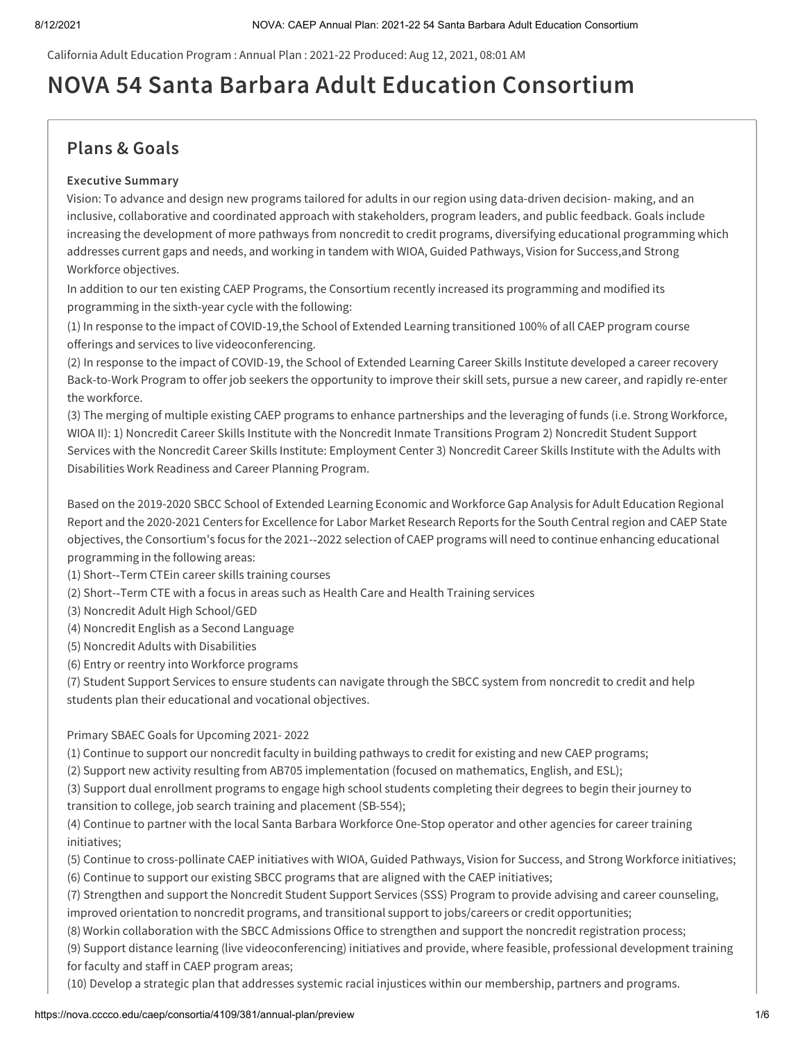California Adult Education Program : Annual Plan : 2021-22 Produced: Aug 12, 2021, 08:01 AM

# **NOVA 54 Santa Barbara Adult Education Consortium**

# **Plans & Goals**

### **Executive Summary**

Vision: To advance and design new programs tailored for adults in our region using data-driven decision- making, and an inclusive, collaborative and coordinated approach with stakeholders, program leaders, and public feedback. Goals include increasing the development of more pathways from noncredit to credit programs, diversifying educational programming which addresses current gaps and needs, and working in tandem with WIOA, Guided Pathways, Vision for Success,and Strong Workforce objectives.

In addition to our ten existing CAEP Programs, the Consortium recently increased its programming and modified its programming in the sixth-year cycle with the following:

(1) In response to the impact of COVID-19,the School of Extended Learning transitioned 100% of all CAEP program course offerings and services to live videoconferencing.

(2) In response to the impact of COVID-19, the School of Extended Learning Career Skills Institute developed a career recovery Back-to-Work Program to offer job seekers the opportunity to improve their skill sets, pursue a new career, and rapidly re-enter the workforce.

(3) The merging of multiple existing CAEP programs to enhance partnerships and the leveraging of funds (i.e. Strong Workforce, WIOA II): 1) Noncredit Career Skills Institute with the Noncredit Inmate Transitions Program 2) Noncredit Student Support Services with the Noncredit Career Skills Institute: Employment Center 3) Noncredit Career Skills Institute with the Adults with Disabilities Work Readiness and Career Planning Program.

Based on the 2019-2020 SBCC School of Extended Learning Economic and Workforce Gap Analysis for Adult Education Regional Report and the 2020-2021 Centers for Excellence for Labor Market Research Reports for the South Central region and CAEP State objectives, the Consortium's focus for the 2021-‐2022 selection of CAEP programs will need to continue enhancing educational programming in the following areas:

(1) Short-‐Term CTEin career skills training courses

- (2) Short-‐Term CTE with a focus in areas such as Health Care and Health Training services
- (3) Noncredit Adult High School/GED
- (4) Noncredit English as a Second Language
- (5) Noncredit Adults with Disabilities
- (6) Entry or reentry into Workforce programs

(7) Student Support Services to ensure students can navigate through the SBCC system from noncredit to credit and help students plan their educational and vocational objectives.

### Primary SBAEC Goals for Upcoming 2021- 2022

(1) Continue to support our noncredit faculty in building pathways to credit for existing and new CAEP programs;

(2) Support new activity resulting from AB705 implementation (focused on mathematics, English, and ESL);

(3) Support dual enrollment programs to engage high school students completing their degrees to begin their journey to transition to college, job search training and placement (SB-554);

(4) Continue to partner with the local Santa Barbara Workforce One-Stop operator and other agencies for career training initiatives;

(5) Continue to cross-pollinate CAEP initiatives with WIOA, Guided Pathways, Vision for Success, and Strong Workforce initiatives;

(6) Continue to support our existing SBCC programs that are aligned with the CAEP initiatives;

(7) Strengthen and support the Noncredit Student Support Services (SSS) Program to provide advising and career counseling, improved orientation to noncredit programs, and transitional support to jobs/careers or credit opportunities;

(8) Workin collaboration with the SBCC Admissions Office to strengthen and support the noncredit registration process;

(9) Support distance learning (live videoconferencing) initiatives and provide, where feasible, professional development training for faculty and staff in CAEP program areas;

(10) Develop a strategic plan that addresses systemic racial injustices within our membership, partners and programs.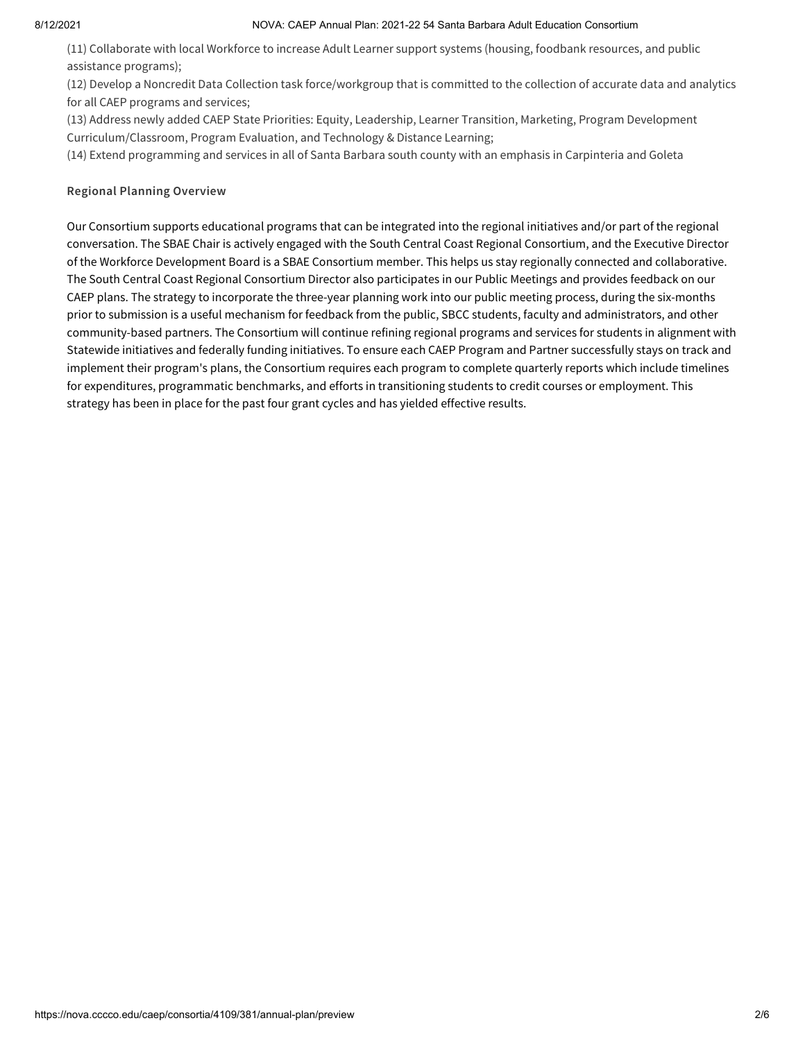#### 8/12/2021 NOVA: CAEP Annual Plan: 2021-22 54 Santa Barbara Adult Education Consortium

(11) Collaborate with local Workforce to increase Adult Learner support systems (housing, foodbank resources, and public assistance programs);

(12) Develop a Noncredit Data Collection task force/workgroup that is committed to the collection of accurate data and analytics for all CAEP programs and services;

(13) Address newly added CAEP State Priorities: Equity, Leadership, Learner Transition, Marketing, Program Development Curriculum/Classroom, Program Evaluation, and Technology & Distance Learning;

(14) Extend programming and services in all of Santa Barbara south county with an emphasis in Carpinteria and Goleta

### **Regional Planning Overview**

Our Consortium supports educational programs that can be integrated into the regional initiatives and/or part of the regional conversation. The SBAE Chair is actively engaged with the South Central Coast Regional Consortium, and the Executive Director of the Workforce Development Board is a SBAE Consortium member. This helps us stay regionally connected and collaborative. The South Central Coast Regional Consortium Director also participates in our Public Meetings and provides feedback on our CAEP plans. The strategy to incorporate the three-year planning work into our public meeting process, during the six-months prior to submission is a useful mechanism for feedback from the public, SBCC students, faculty and administrators, and other community-based partners. The Consortium will continue refining regional programs and services for students in alignment with Statewide initiatives and federally funding initiatives. To ensure each CAEP Program and Partner successfully stays on track and implement their program's plans, the Consortium requires each program to complete quarterly reports which include timelines for expenditures, programmatic benchmarks, and efforts in transitioning students to credit courses or employment. This strategy has been in place for the past four grant cycles and has yielded effective results.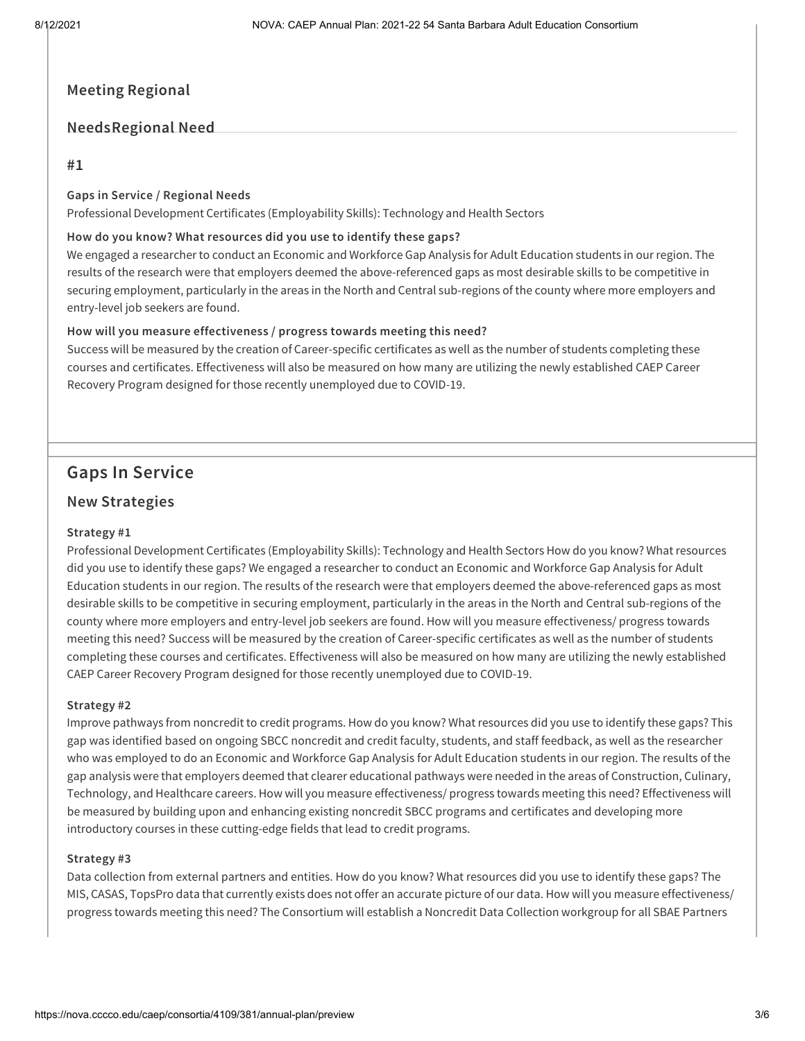# **Meeting Regional**

# **NeedsRegional Need**

### **#1**

### **Gaps in Service / Regional Needs**

Professional Development Certificates (Employability Skills): Technology and Health Sectors

### **How do you know? What resources did you use to identify these gaps?**

We engaged a researcher to conduct an Economic and Workforce Gap Analysis for Adult Education students in our region. The results of the research were that employers deemed the above-referenced gaps as most desirable skills to be competitive in securing employment, particularly in the areas in the North and Central sub-regions of the county where more employers and entry-level job seekers are found.

### **How will you measure effectiveness / progress towards meeting this need?**

Success will be measured by the creation of Career-specific certificates as well as the number of students completing these courses and certificates. Effectiveness will also be measured on how many are utilizing the newly established CAEP Career Recovery Program designed for those recently unemployed due to COVID-19.

# **Gaps In Service**

# **New Strategies**

### **Strategy #1**

Professional Development Certificates (Employability Skills): Technology and Health Sectors How do you know? What resources did you use to identify these gaps? We engaged a researcher to conduct an Economic and Workforce Gap Analysis for Adult Education students in our region. The results of the research were that employers deemed the above-referenced gaps as most desirable skills to be competitive in securing employment, particularly in the areas in the North and Central sub-regions of the county where more employers and entry-level job seekers are found. How will you measure effectiveness/ progress towards meeting this need? Success will be measured by the creation of Career-specific certificates as well as the number of students completing these courses and certificates. Effectiveness will also be measured on how many are utilizing the newly established CAEP Career Recovery Program designed for those recently unemployed due to COVID-19.

### **Strategy #2**

Improve pathways from noncredit to credit programs. How do you know? What resources did you use to identify these gaps? This gap was identified based on ongoing SBCC noncredit and credit faculty, students, and staff feedback, as well as the researcher who was employed to do an Economic and Workforce Gap Analysis for Adult Education students in our region. The results of the gap analysis were that employers deemed that clearer educational pathways were needed in the areas of Construction, Culinary, Technology, and Healthcare careers. How will you measure effectiveness/ progress towards meeting this need? Effectiveness will be measured by building upon and enhancing existing noncredit SBCC programs and certificates and developing more introductory courses in these cutting-edge fields that lead to credit programs.

#### **Strategy #3**

Data collection from external partners and entities. How do you know? What resources did you use to identify these gaps? The MIS, CASAS, TopsPro data that currently exists does not offer an accurate picture of our data. How will you measure effectiveness/ progress towards meeting this need? The Consortium will establish a Noncredit Data Collection workgroup for all SBAE Partners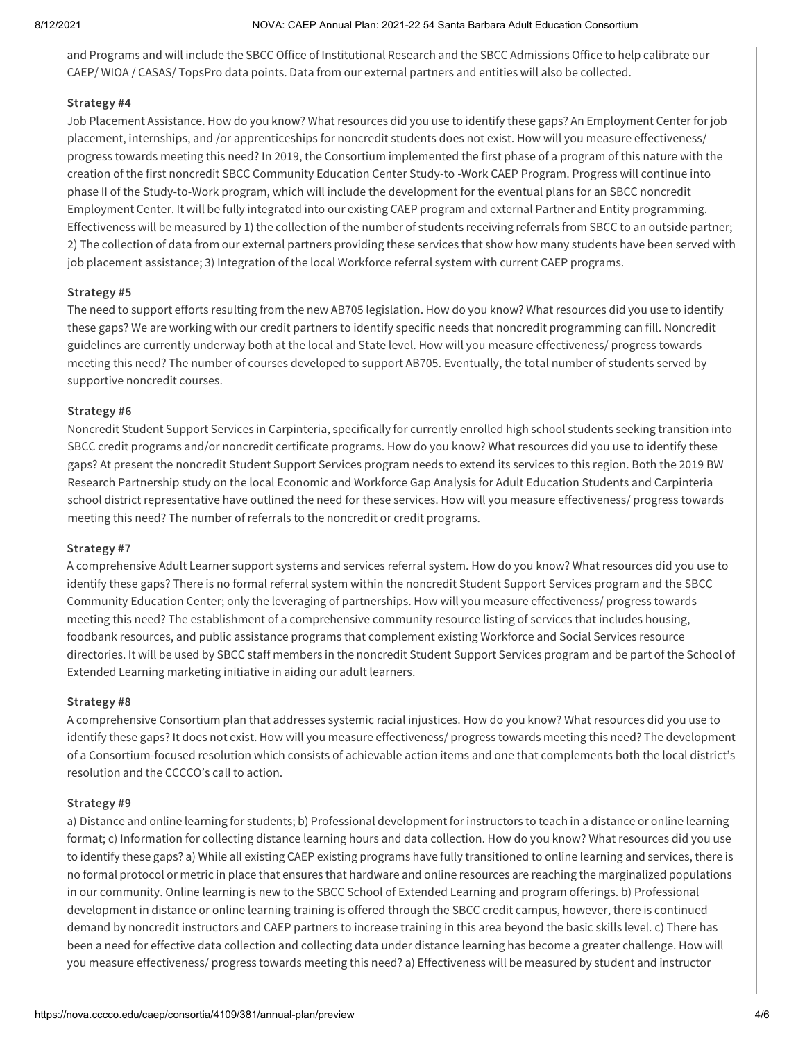and Programs and will include the SBCC Office of Institutional Research and the SBCC Admissions Office to help calibrate our CAEP/ WIOA / CASAS/ TopsPro data points. Data from our external partners and entities will also be collected.

### **Strategy #4**

Job Placement Assistance. How do you know? What resources did you use to identify these gaps? An Employment Center for job placement, internships, and /or apprenticeships for noncredit students does not exist. How will you measure effectiveness/ progress towards meeting this need? In 2019, the Consortium implemented the first phase of a program of this nature with the creation of the first noncredit SBCC Community Education Center Study-to -Work CAEP Program. Progress will continue into phase II of the Study-to-Work program, which will include the development for the eventual plans for an SBCC noncredit Employment Center. It will be fully integrated into our existing CAEP program and external Partner and Entity programming. Effectiveness will be measured by 1) the collection of the number of students receiving referrals from SBCC to an outside partner; 2) The collection of data from our external partners providing these services that show how many students have been served with job placement assistance; 3) Integration of the local Workforce referral system with current CAEP programs.

### **Strategy #5**

The need to support efforts resulting from the new AB705 legislation. How do you know? What resources did you use to identify these gaps? We are working with our credit partners to identify specific needs that noncredit programming can fill. Noncredit guidelines are currently underway both at the local and State level. How will you measure effectiveness/ progress towards meeting this need? The number of courses developed to support AB705. Eventually, the total number of students served by supportive noncredit courses.

### **Strategy #6**

Noncredit Student Support Services in Carpinteria, specifically for currently enrolled high school students seeking transition into SBCC credit programs and/or noncredit certificate programs. How do you know? What resources did you use to identify these gaps? At present the noncredit Student Support Services program needs to extend its services to this region. Both the 2019 BW Research Partnership study on the local Economic and Workforce Gap Analysis for Adult Education Students and Carpinteria school district representative have outlined the need for these services. How will you measure effectiveness/ progress towards meeting this need? The number of referrals to the noncredit or credit programs.

#### **Strategy #7**

A comprehensive Adult Learner support systems and services referral system. How do you know? What resources did you use to identify these gaps? There is no formal referral system within the noncredit Student Support Services program and the SBCC Community Education Center; only the leveraging of partnerships. How will you measure effectiveness/ progress towards meeting this need? The establishment of a comprehensive community resource listing of services that includes housing, foodbank resources, and public assistance programs that complement existing Workforce and Social Services resource directories. It will be used by SBCC staff members in the noncredit Student Support Services program and be part of the School of Extended Learning marketing initiative in aiding our adult learners.

#### **Strategy #8**

A comprehensive Consortium plan that addresses systemic racial injustices. How do you know? What resources did you use to identify these gaps? It does not exist. How will you measure effectiveness/ progress towards meeting this need? The development of a Consortium-focused resolution which consists of achievable action items and one that complements both the local district's resolution and the CCCCO's call to action.

#### **Strategy #9**

a) Distance and online learning for students; b) Professional development for instructors to teach in a distance or online learning format; c) Information for collecting distance learning hours and data collection. How do you know? What resources did you use to identify these gaps? a) While all existing CAEP existing programs have fully transitioned to online learning and services, there is no formal protocol or metric in place that ensures that hardware and online resources are reaching the marginalized populations in our community. Online learning is new to the SBCC School of Extended Learning and program offerings. b) Professional development in distance or online learning training is offered through the SBCC credit campus, however, there is continued demand by noncredit instructors and CAEP partners to increase training in this area beyond the basic skills level. c) There has been a need for effective data collection and collecting data under distance learning has become a greater challenge. How will you measure effectiveness/ progress towards meeting this need? a) Effectiveness will be measured by student and instructor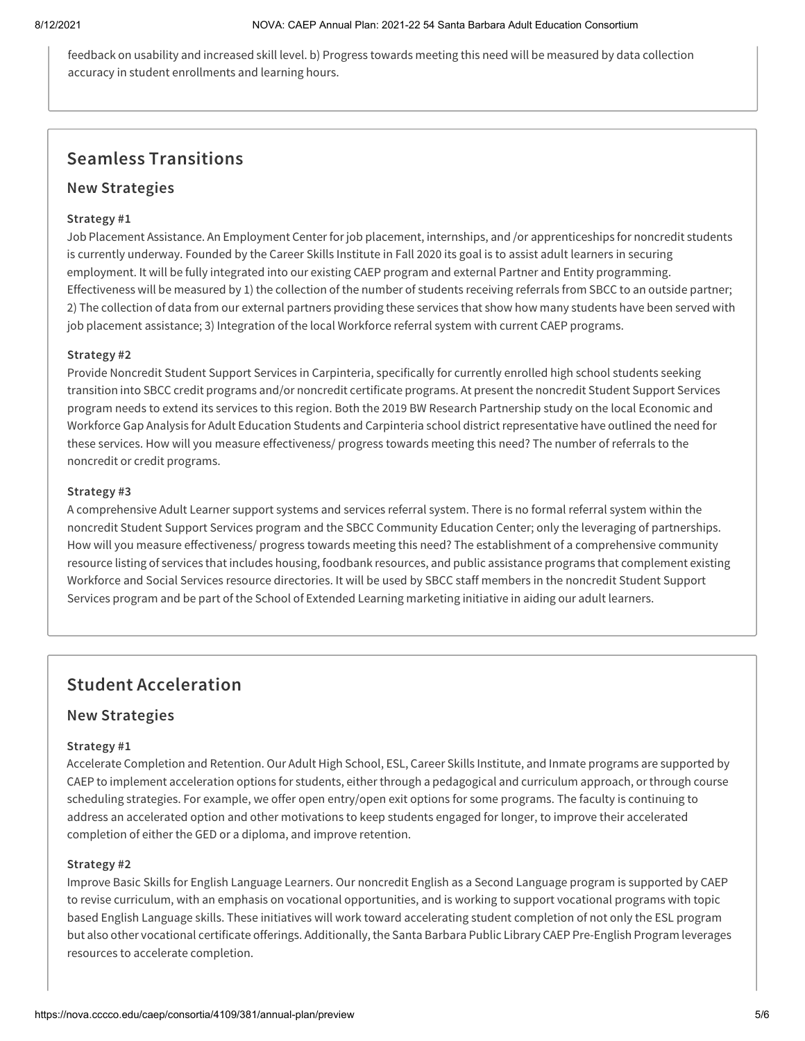feedback on usability and increased skill level. b) Progress towards meeting this need will be measured by data collection accuracy in student enrollments and learning hours.

# **Seamless Transitions**

# **New Strategies**

### **Strategy #1**

Job Placement Assistance. An Employment Center for job placement, internships, and /or apprenticeships for noncredit students is currently underway. Founded by the Career Skills Institute in Fall 2020 its goal is to assist adult learners in securing employment. It will be fully integrated into our existing CAEP program and external Partner and Entity programming. Effectiveness will be measured by 1) the collection of the number of students receiving referrals from SBCC to an outside partner; 2) The collection of data from our external partners providing these services that show how many students have been served with job placement assistance; 3) Integration of the local Workforce referral system with current CAEP programs.

### **Strategy #2**

Provide Noncredit Student Support Services in Carpinteria, specifically for currently enrolled high school students seeking transition into SBCC credit programs and/or noncredit certificate programs. At present the noncredit Student Support Services program needs to extend its services to this region. Both the 2019 BW Research Partnership study on the local Economic and Workforce Gap Analysis for Adult Education Students and Carpinteria school district representative have outlined the need for these services. How will you measure effectiveness/ progress towards meeting this need? The number of referrals to the noncredit or credit programs.

### **Strategy #3**

A comprehensive Adult Learner support systems and services referral system. There is no formal referral system within the noncredit Student Support Services program and the SBCC Community Education Center; only the leveraging of partnerships. How will you measure effectiveness/ progress towards meeting this need? The establishment of a comprehensive community resource listing of services that includes housing, foodbank resources, and public assistance programs that complement existing Workforce and Social Services resource directories. It will be used by SBCC staff members in the noncredit Student Support Services program and be part of the School of Extended Learning marketing initiative in aiding our adult learners.

# **Student Acceleration**

### **New Strategies**

### **Strategy #1**

Accelerate Completion and Retention. Our Adult High School, ESL, Career Skills Institute, and Inmate programs are supported by CAEP to implement acceleration options for students, either through a pedagogical and curriculum approach, or through course scheduling strategies. For example, we offer open entry/open exit options for some programs. The faculty is continuing to address an accelerated option and other motivations to keep students engaged for longer, to improve their accelerated completion of either the GED or a diploma, and improve retention.

### **Strategy #2**

Improve Basic Skills for English Language Learners. Our noncredit English as a Second Language program is supported by CAEP to revise curriculum, with an emphasis on vocational opportunities, and is working to support vocational programs with topic based English Language skills. These initiatives will work toward accelerating student completion of not only the ESL program but also other vocational certificate offerings. Additionally,the Santa Barbara Public Library CAEP Pre-English Program leverages resources to accelerate completion.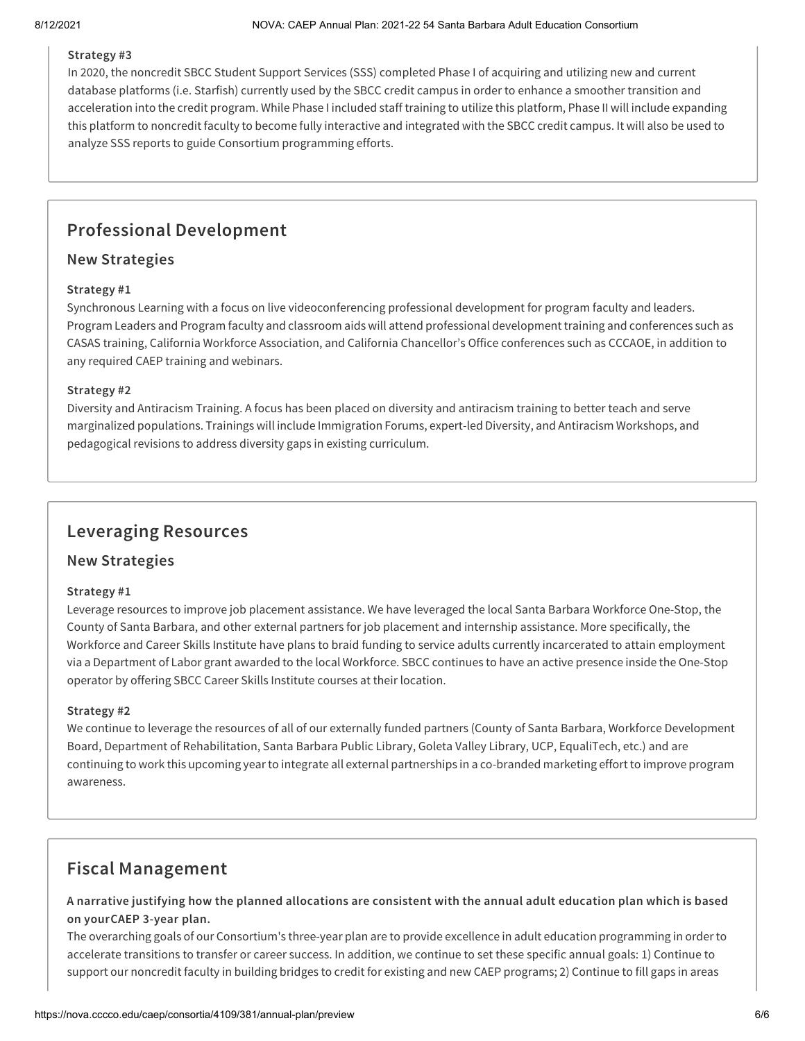### **Strategy #3**

In 2020, the noncredit SBCC Student Support Services (SSS) completed Phase I of acquiring and utilizing new and current database platforms (i.e. Starfish) currently used by the SBCC credit campus in order to enhance a smoother transition and acceleration into the credit program. While Phase I included staff training to utilize this platform, Phase II will include expanding this platform to noncredit faculty to become fully interactive and integrated with the SBCC credit campus. It will also be used to analyze SSS reports to guide Consortium programming efforts.

# **Professional Development**

# **New Strategies**

### **Strategy #1**

Synchronous Learning with a focus on live videoconferencing professional development for program faculty and leaders. Program Leaders and Program faculty and classroom aids will attend professional development training and conferences such as CASAS training, California Workforce Association, and California Chancellor's Office conferences such as CCCAOE, in addition to any required CAEP training and webinars.

### **Strategy #2**

Diversity and Antiracism Training. A focus has been placed on diversity and antiracism training to better teach and serve marginalized populations. Trainings will include Immigration Forums, expert-led Diversity, and Antiracism Workshops, and pedagogical revisions to address diversity gaps in existing curriculum.

# **Leveraging Resources**

### **New Strategies**

### **Strategy #1**

Leverage resources to improve job placement assistance. We have leveraged the local Santa Barbara Workforce One-Stop, the County of Santa Barbara, and other external partners for job placement and internship assistance. More specifically, the Workforce and Career Skills Institute have plans to braid funding to service adults currently incarcerated to attain employment via a Department of Labor grant awarded to the local Workforce. SBCC continues to have an active presence inside the One-Stop operator by offering SBCC Career Skills Institute courses at their location.

### **Strategy #2**

We continue to leverage the resources of all of our externally funded partners (County of Santa Barbara, Workforce Development Board, Department of Rehabilitation, Santa Barbara Public Library, Goleta Valley Library, UCP, EqualiTech, etc.) and are continuing to work this upcoming year to integrate all external partnerships in a co-branded marketing effort to improve program awareness.

# **Fiscal Management**

A narrative justifying how the planned allocations are consistent with the annual adult education plan which is based **on yourCAEP 3-year plan.**

The overarching goals of our Consortium's three-year plan are to provide excellence in adult education programming in order to accelerate transitions to transfer or career success. In addition, we continue to set these specific annual goals: 1) Continue to support our noncredit faculty in building bridges to credit for existing and new CAEP programs; 2) Continue to fill gaps in areas